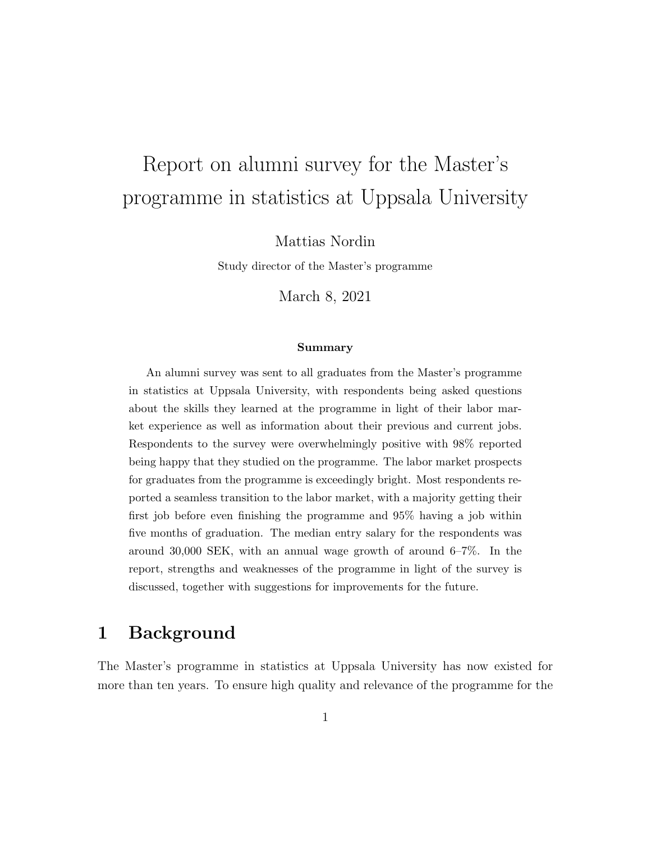# Report on alumni survey for the Master's programme in statistics at Uppsala University

Mattias Nordin

Study director of the Master's programme

March 8, 2021

#### Summary

An alumni survey was sent to all graduates from the Master's programme in statistics at Uppsala University, with respondents being asked questions about the skills they learned at the programme in light of their labor market experience as well as information about their previous and current jobs. Respondents to the survey were overwhelmingly positive with 98% reported being happy that they studied on the programme. The labor market prospects for graduates from the programme is exceedingly bright. Most respondents reported a seamless transition to the labor market, with a majority getting their first job before even finishing the programme and 95% having a job within five months of graduation. The median entry salary for the respondents was around 30,000 SEK, with an annual wage growth of around 6–7%. In the report, strengths and weaknesses of the programme in light of the survey is discussed, together with suggestions for improvements for the future.

### 1 Background

The Master's programme in statistics at Uppsala University has now existed for more than ten years. To ensure high quality and relevance of the programme for the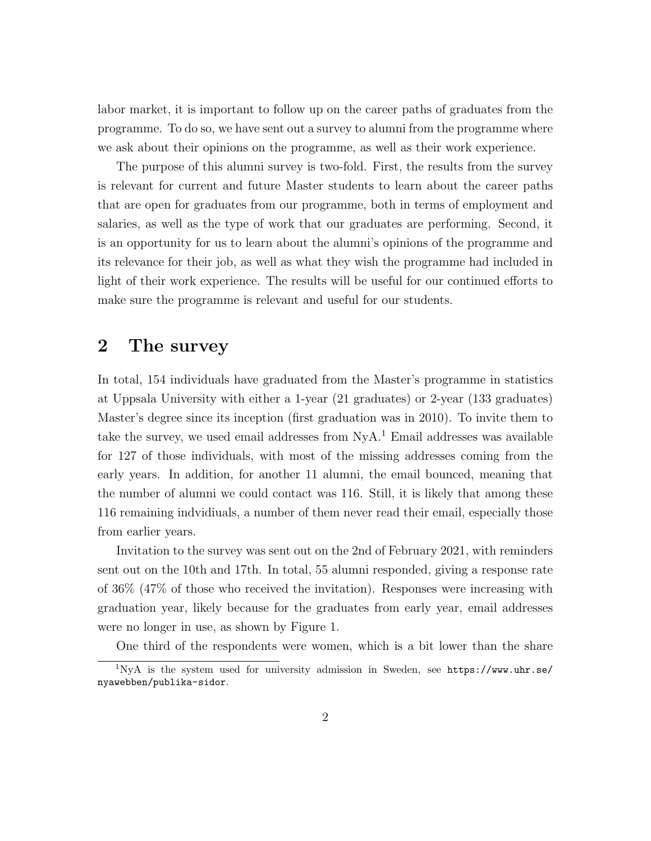labor market, it is important to follow up on the career paths of graduates from the programme. To do so, we have sent out a survey to alumni from the programme where we ask about their opinions on the programme, as well as their work experience.

The purpose of this alumni survey is two-fold. First, the results from the survey is relevant for current and future Master students to learn about the career paths that are open for graduates from our programme, both in terms of employment and salaries, as well as the type of work that our graduates are performing. Second, it is an opportunity for us to learn about the alumni's opinions of the programme and its relevance for their job, as well as what they wish the programme had included in light of their work experience. The results will be useful for our continued efforts to make sure the programme is relevant and useful for our students.

# 2 The survey

In total, 154 individuals have graduated from the Master's programme in statistics at Uppsala University with either a 1-year (21 graduates) or 2-year (133 graduates) Master's degree since its inception (first graduation was in 2010). To invite them to take the survey, we used email addresses from  $NyA<sup>1</sup>$  $NyA<sup>1</sup>$  $NyA<sup>1</sup>$  Email addresses was available for 127 of those individuals, with most of the missing addresses coming from the early years. In addition, for another 11 alumni, the email bounced, meaning that the number of alumni we could contact was 116. Still, it is likely that among these 116 remaining indvidiuals, a number of them never read their email, especially those from earlier years.

Invitation to the survey was sent out on the 2nd of February 2021, with reminders sent out on the 10th and 17th. In total, 55 alumni responded, giving a response rate of 36% (47% of those who received the invitation). Responses were increasing with graduation year, likely because for the graduates from early year, email addresses were no longer in use, as shown by Figure [1.](#page-7-0)

<span id="page-1-0"></span>One third of the respondents were women, which is a bit lower than the share

 $1$ NyA is the system used for university admission in Sweden, see [https://www.uhr.se/](https://www.uhr.se/nyawebben/publika-sidor) [nyawebben/publika-sidor](https://www.uhr.se/nyawebben/publika-sidor).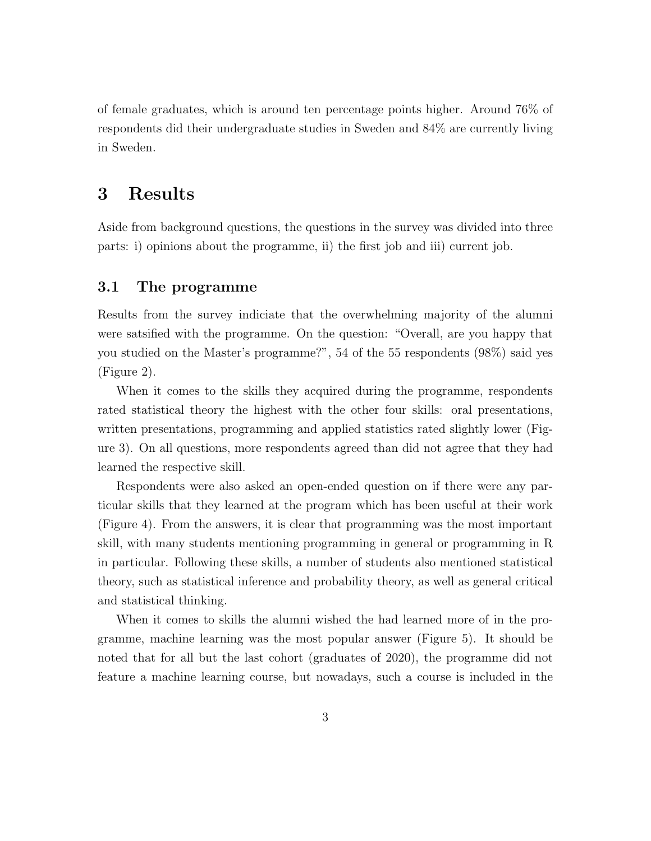of female graduates, which is around ten percentage points higher. Around 76% of respondents did their undergraduate studies in Sweden and 84% are currently living in Sweden.

# 3 Results

Aside from background questions, the questions in the survey was divided into three parts: i) opinions about the programme, ii) the first job and iii) current job.

#### 3.1 The programme

Results from the survey indiciate that the overwhelming majority of the alumni were satsified with the programme. On the question: "Overall, are you happy that you studied on the Master's programme?", 54 of the 55 respondents (98%) said yes (Figure [2\)](#page-7-1).

When it comes to the skills they acquired during the programme, respondents rated statistical theory the highest with the other four skills: oral presentations, written presentations, programming and applied statistics rated slightly lower (Figure [3\)](#page-8-0). On all questions, more respondents agreed than did not agree that they had learned the respective skill.

Respondents were also asked an open-ended question on if there were any particular skills that they learned at the program which has been useful at their work (Figure [4\)](#page-9-0). From the answers, it is clear that programming was the most important skill, with many students mentioning programming in general or programming in R in particular. Following these skills, a number of students also mentioned statistical theory, such as statistical inference and probability theory, as well as general critical and statistical thinking.

When it comes to skills the alumni wished the had learned more of in the programme, machine learning was the most popular answer (Figure [5\)](#page-10-0). It should be noted that for all but the last cohort (graduates of 2020), the programme did not feature a machine learning course, but nowadays, such a course is included in the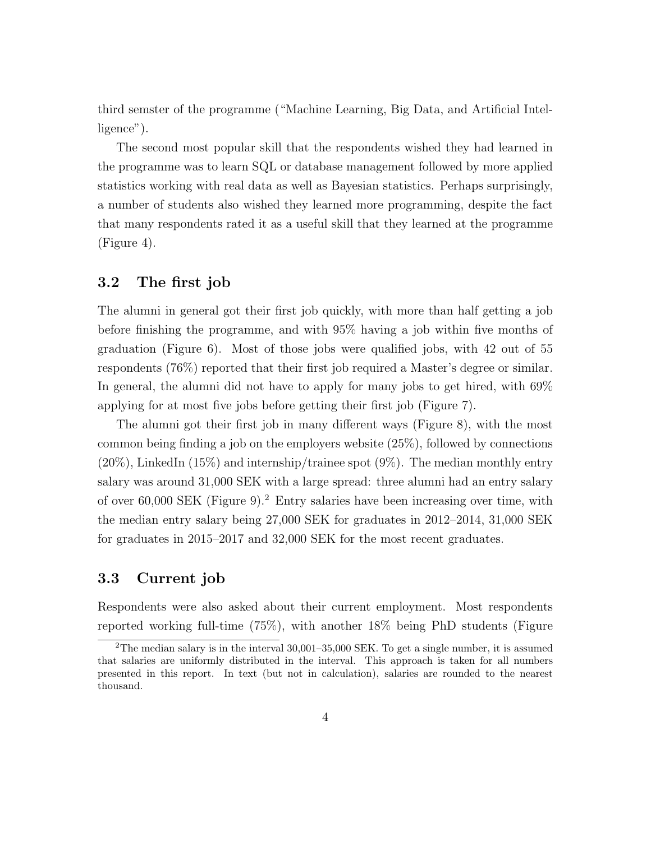third semster of the programme ("Machine Learning, Big Data, and Artificial Intelligence").

The second most popular skill that the respondents wished they had learned in the programme was to learn SQL or database management followed by more applied statistics working with real data as well as Bayesian statistics. Perhaps surprisingly, a number of students also wished they learned more programming, despite the fact that many respondents rated it as a useful skill that they learned at the programme (Figure [4\)](#page-9-0).

#### 3.2 The first job

The alumni in general got their first job quickly, with more than half getting a job before finishing the programme, and with 95% having a job within five months of graduation (Figure [6\)](#page-11-0). Most of those jobs were qualified jobs, with 42 out of 55 respondents (76%) reported that their first job required a Master's degree or similar. In general, the alumni did not have to apply for many jobs to get hired, with 69% applying for at most five jobs before getting their first job (Figure [7\)](#page-11-1).

The alumni got their first job in many different ways (Figure [8\)](#page-12-0), with the most common being finding a job on the employers website (25%), followed by connections  $(20\%)$ , LinkedIn  $(15\%)$  and internship/trainee spot  $(9\%)$ . The median monthly entry salary was around 31,000 SEK with a large spread: three alumni had an entry salary of over  $60,000$  SEK (Figure [9\)](#page-12-1).<sup>[2](#page-3-0)</sup> Entry salaries have been increasing over time, with the median entry salary being 27,000 SEK for graduates in 2012–2014, 31,000 SEK for graduates in 2015–2017 and 32,000 SEK for the most recent graduates.

#### 3.3 Current job

Respondents were also asked about their current employment. Most respondents reported working full-time (75%), with another 18% being PhD students (Figure

<span id="page-3-0"></span><sup>&</sup>lt;sup>2</sup>The median salary is in the interval  $30,001-35,000$  SEK. To get a single number, it is assumed that salaries are uniformly distributed in the interval. This approach is taken for all numbers presented in this report. In text (but not in calculation), salaries are rounded to the nearest thousand.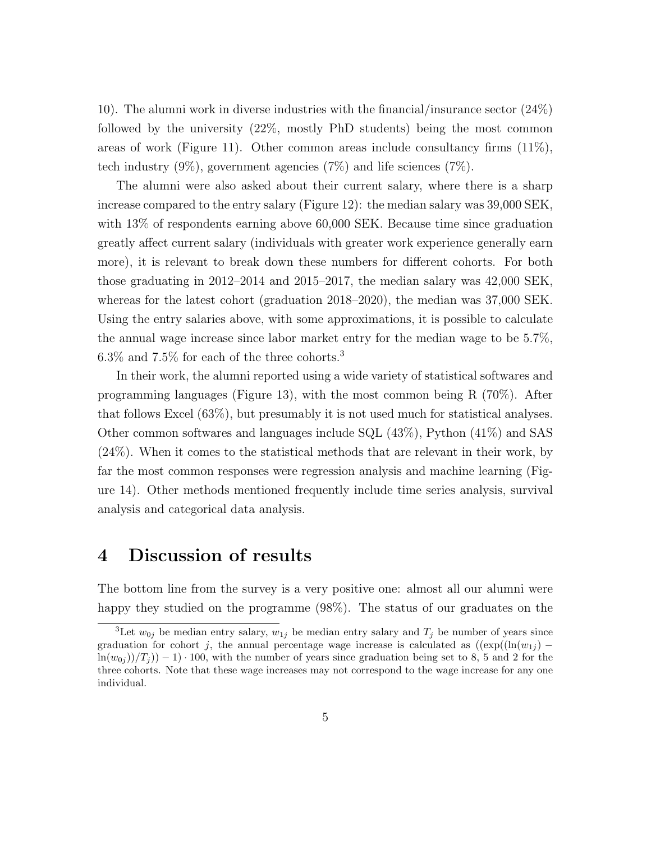[10\)](#page-13-0). The alumni work in diverse industries with the financial/insurance sector (24%) followed by the university (22%, mostly PhD students) being the most common areas of work (Figure [11\)](#page-13-1). Other common areas include consultancy firms  $(11\%)$ , tech industry  $(9\%)$ , government agencies  $(7\%)$  and life sciences  $(7\%)$ .

The alumni were also asked about their current salary, where there is a sharp increase compared to the entry salary (Figure [12\)](#page-14-0): the median salary was 39,000 SEK, with 13% of respondents earning above 60,000 SEK. Because time since graduation greatly affect current salary (individuals with greater work experience generally earn more), it is relevant to break down these numbers for different cohorts. For both those graduating in 2012–2014 and 2015–2017, the median salary was 42,000 SEK, whereas for the latest cohort (graduation 2018–2020), the median was 37,000 SEK. Using the entry salaries above, with some approximations, it is possible to calculate the annual wage increase since labor market entry for the median wage to be 5.7%,  $6.3\%$  $6.3\%$  $6.3\%$  and  $7.5\%$  for each of the three cohorts.<sup>3</sup>

In their work, the alumni reported using a wide variety of statistical softwares and programming languages (Figure [13\)](#page-14-1), with the most common being R (70%). After that follows Excel (63%), but presumably it is not used much for statistical analyses. Other common softwares and languages include SQL (43%), Python (41%) and SAS (24%). When it comes to the statistical methods that are relevant in their work, by far the most common responses were regression analysis and machine learning (Figure [14\)](#page-15-0). Other methods mentioned frequently include time series analysis, survival analysis and categorical data analysis.

## 4 Discussion of results

The bottom line from the survey is a very positive one: almost all our alumni were happy they studied on the programme (98%). The status of our graduates on the

<span id="page-4-0"></span><sup>&</sup>lt;sup>3</sup>Let  $w_{0i}$  be median entry salary,  $w_{1i}$  be median entry salary and  $T_i$  be number of years since graduation for cohort j, the annual percentage wage increase is calculated as  $((\exp((\ln(w_{1i}) \ln(w_{0i})/T_i$ ) – 1) · 100, with the number of years since graduation being set to 8, 5 and 2 for the three cohorts. Note that these wage increases may not correspond to the wage increase for any one individual.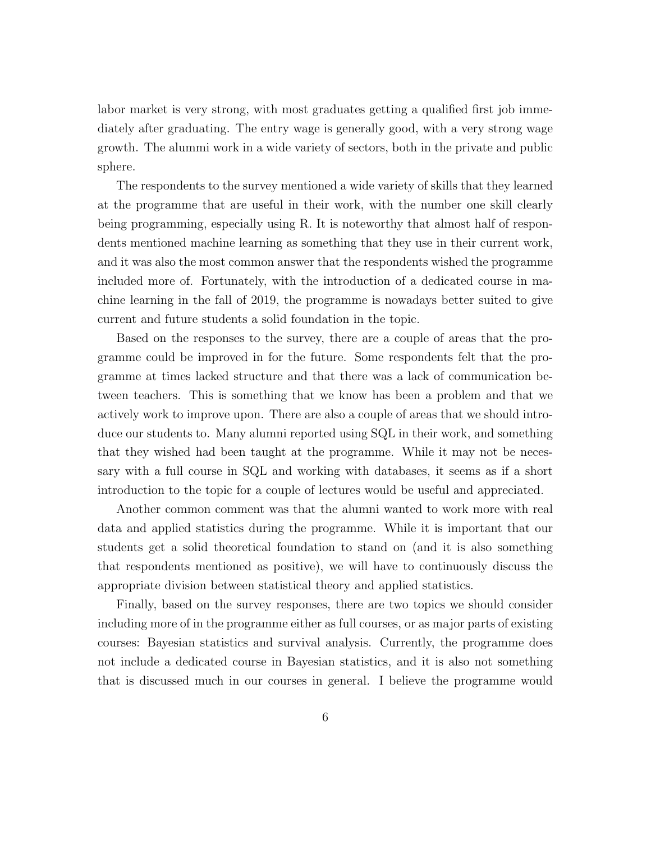labor market is very strong, with most graduates getting a qualified first job immediately after graduating. The entry wage is generally good, with a very strong wage growth. The alummi work in a wide variety of sectors, both in the private and public sphere.

The respondents to the survey mentioned a wide variety of skills that they learned at the programme that are useful in their work, with the number one skill clearly being programming, especially using R. It is noteworthy that almost half of respondents mentioned machine learning as something that they use in their current work, and it was also the most common answer that the respondents wished the programme included more of. Fortunately, with the introduction of a dedicated course in machine learning in the fall of 2019, the programme is nowadays better suited to give current and future students a solid foundation in the topic.

Based on the responses to the survey, there are a couple of areas that the programme could be improved in for the future. Some respondents felt that the programme at times lacked structure and that there was a lack of communication between teachers. This is something that we know has been a problem and that we actively work to improve upon. There are also a couple of areas that we should introduce our students to. Many alumni reported using SQL in their work, and something that they wished had been taught at the programme. While it may not be necessary with a full course in SQL and working with databases, it seems as if a short introduction to the topic for a couple of lectures would be useful and appreciated.

Another common comment was that the alumni wanted to work more with real data and applied statistics during the programme. While it is important that our students get a solid theoretical foundation to stand on (and it is also something that respondents mentioned as positive), we will have to continuously discuss the appropriate division between statistical theory and applied statistics.

Finally, based on the survey responses, there are two topics we should consider including more of in the programme either as full courses, or as major parts of existing courses: Bayesian statistics and survival analysis. Currently, the programme does not include a dedicated course in Bayesian statistics, and it is also not something that is discussed much in our courses in general. I believe the programme would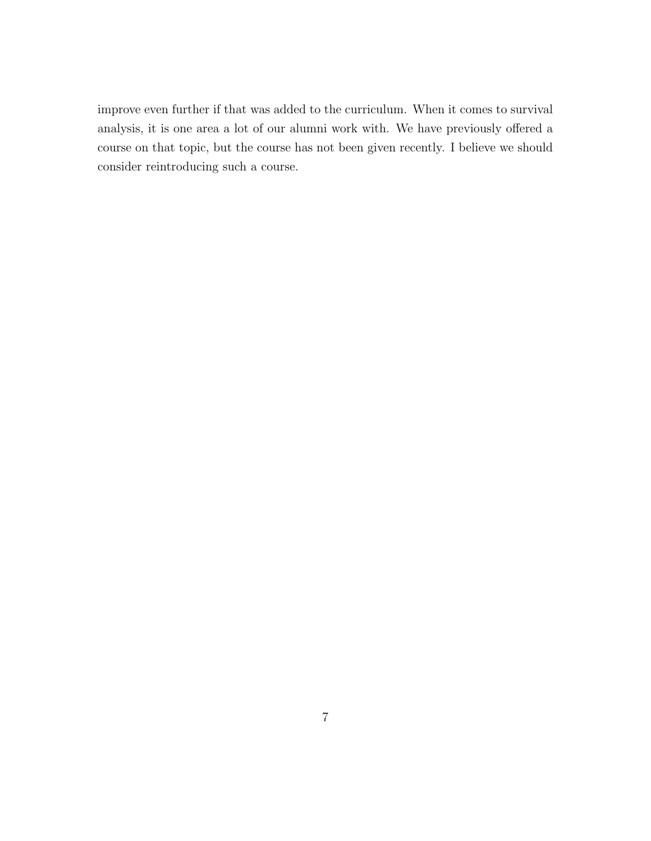improve even further if that was added to the curriculum. When it comes to survival analysis, it is one area a lot of our alumni work with. We have previously offered a course on that topic, but the course has not been given recently. I believe we should consider reintroducing such a course.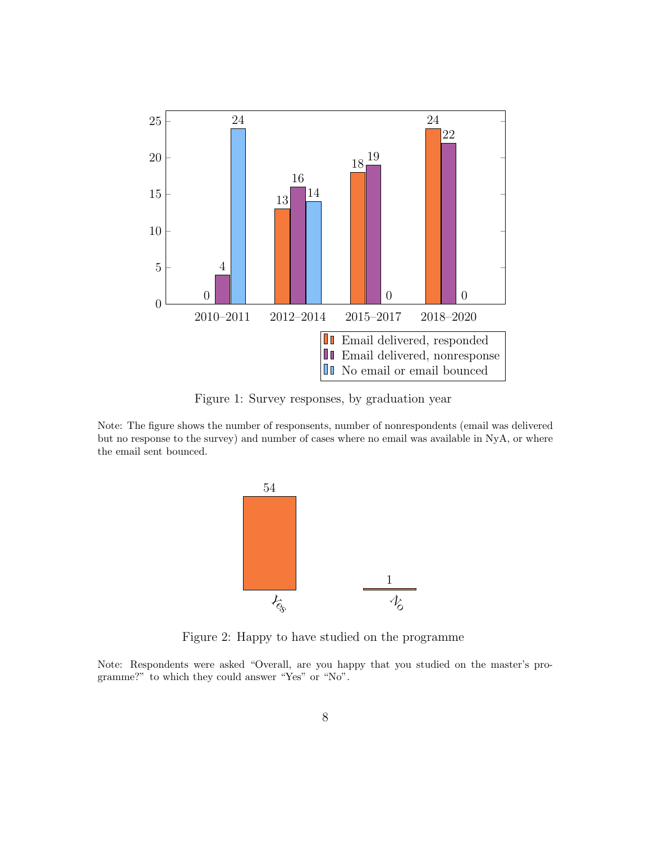<span id="page-7-0"></span>

Figure 1: Survey responses, by graduation year

<span id="page-7-1"></span>Note: The figure shows the number of responsents, number of nonrespondents (email was delivered but no response to the survey) and number of cases where no email was available in NyA, or where the email sent bounced.



Figure 2: Happy to have studied on the programme

Note: Respondents were asked "Overall, are you happy that you studied on the master's programme?" to which they could answer "Yes" or "No".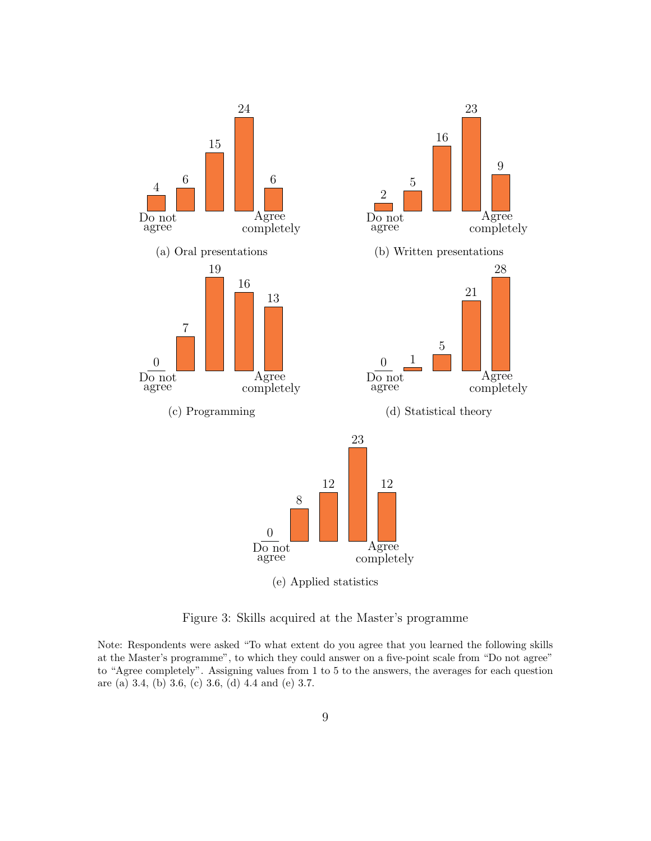<span id="page-8-0"></span>

Figure 3: Skills acquired at the Master's programme

Note: Respondents were asked "To what extent do you agree that you learned the following skills at the Master's programme", to which they could answer on a five-point scale from "Do not agree" to "Agree completely". Assigning values from 1 to 5 to the answers, the averages for each question are (a) 3.4, (b) 3.6, (c) 3.6, (d) 4.4 and (e) 3.7.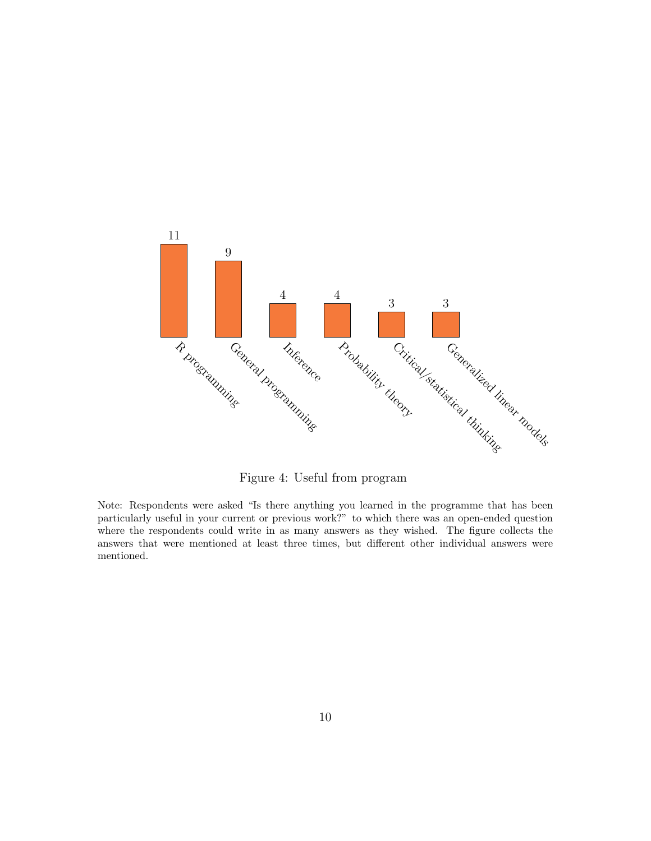<span id="page-9-0"></span>

Figure 4: Useful from program

Note: Respondents were asked "Is there anything you learned in the programme that has been particularly useful in your current or previous work?" to which there was an open-ended question where the respondents could write in as many answers as they wished. The figure collects the answers that were mentioned at least three times, but different other individual answers were mentioned.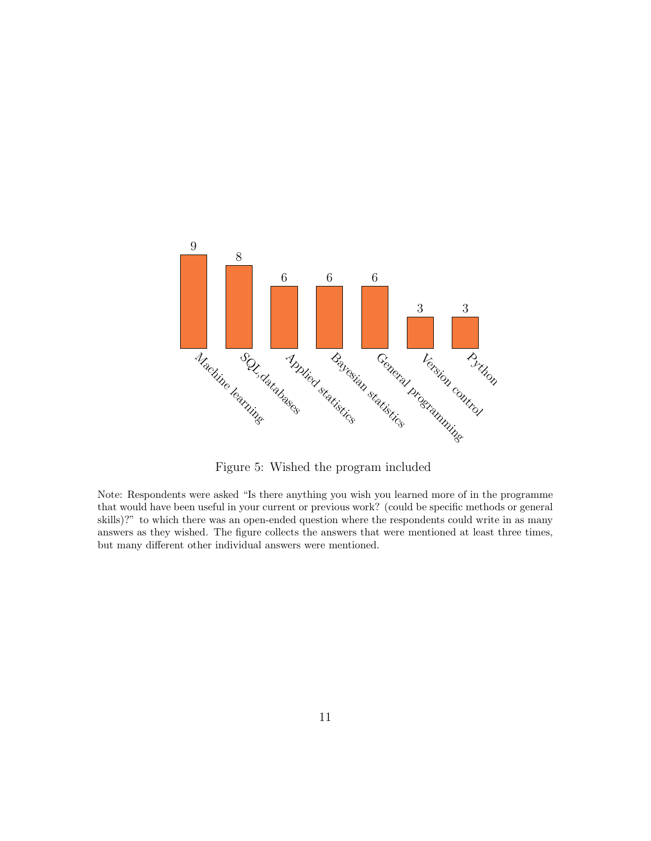<span id="page-10-0"></span>

Figure 5: Wished the program included

Note: Respondents were asked "Is there anything you wish you learned more of in the programme that would have been useful in your current or previous work? (could be specific methods or general skills)?" to which there was an open-ended question where the respondents could write in as many answers as they wished. The figure collects the answers that were mentioned at least three times, but many different other individual answers were mentioned.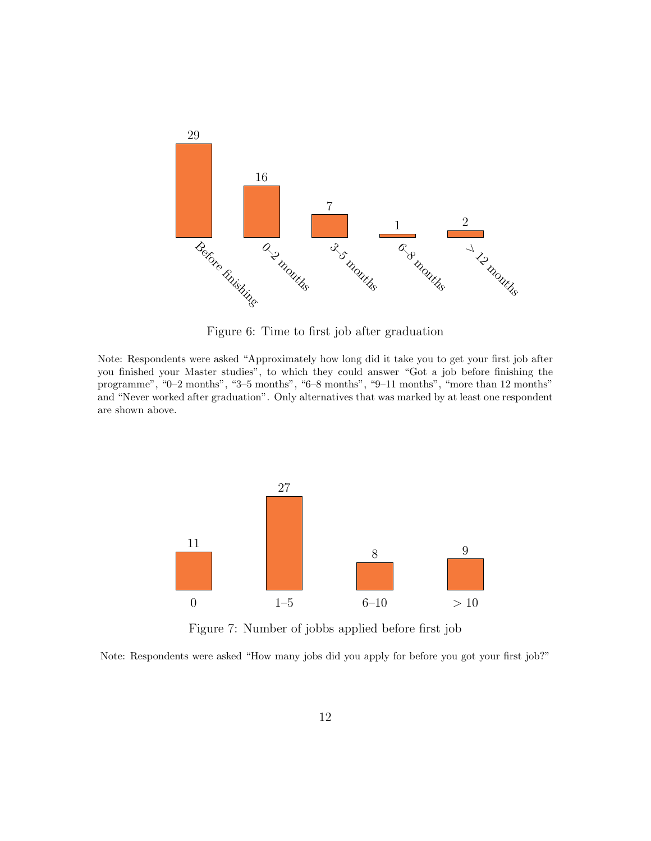<span id="page-11-0"></span>

Figure 6: Time to first job after graduation

Note: Respondents were asked "Approximately how long did it take you to get your first job after you finished your Master studies", to which they could answer "Got a job before finishing the programme", "0–2 months", "3–5 months", "6–8 months", "9–11 months", "more than 12 months" and "Never worked after graduation". Only alternatives that was marked by at least one respondent are shown above.

<span id="page-11-1"></span>

Figure 7: Number of jobbs applied before first job

Note: Respondents were asked "How many jobs did you apply for before you got your first job?"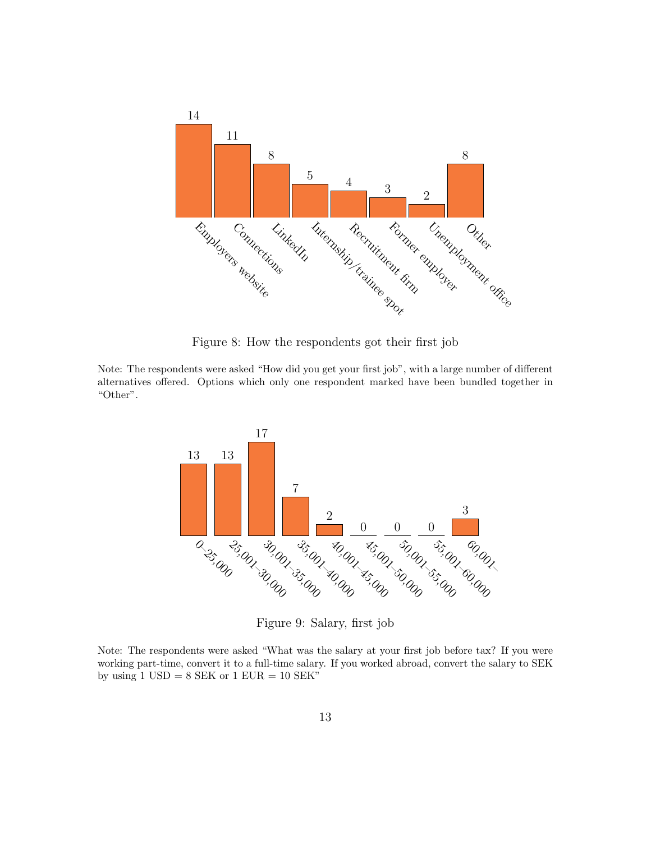<span id="page-12-0"></span>

Figure 8: How the respondents got their first job

<span id="page-12-1"></span>Note: The respondents were asked "How did you get your first job", with a large number of different alternatives offered. Options which only one respondent marked have been bundled together in "Other".



Figure 9: Salary, first job

Note: The respondents were asked "What was the salary at your first job before tax? If you were working part-time, convert it to a full-time salary. If you worked abroad, convert the salary to SEK by using  $1 \text{ USD} = 8 \text{ SEK}$  or  $1 \text{ EUR} = 10 \text{ SEK}$ "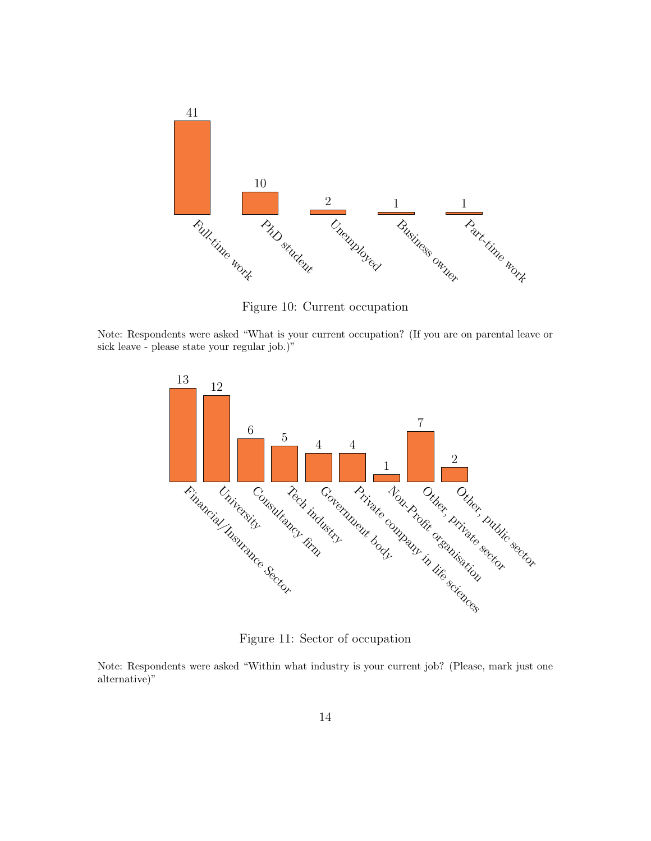<span id="page-13-0"></span>

Figure 10: Current occupation

<span id="page-13-1"></span>Note: Respondents were asked "What is your current occupation? (If you are on parental leave or sick leave - please state your regular job.)"



Figure 11: Sector of occupation

Note: Respondents were asked "Within what industry is your current job? (Please, mark just one alternative)"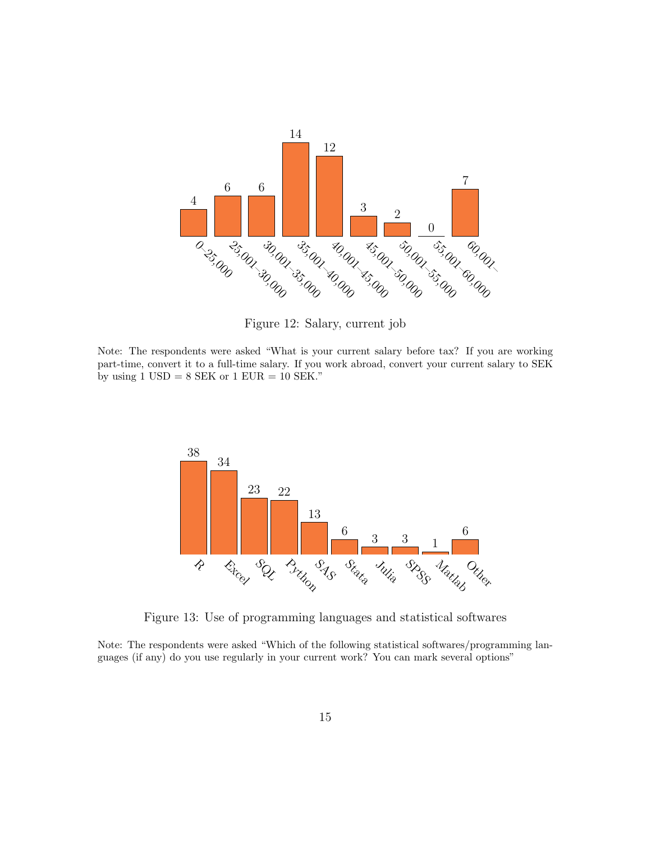<span id="page-14-0"></span>

Figure 12: Salary, current job

Note: The respondents were asked "What is your current salary before tax? If you are working part-time, convert it to a full-time salary. If you work abroad, convert your current salary to SEK by using  $1 \text{ USD} = 8 \text{ SEK}$  or  $1 \text{ EUR} = 10 \text{ SEK}$ ."

<span id="page-14-1"></span>

Figure 13: Use of programming languages and statistical softwares

Note: The respondents were asked "Which of the following statistical softwares/programming languages (if any) do you use regularly in your current work? You can mark several options"